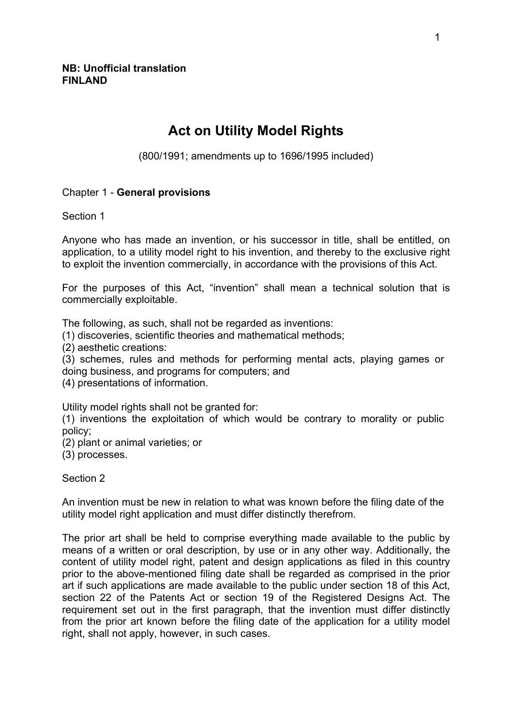# **Act on Utility Model Rights**

(800/1991; amendments up to 1696/1995 included)

# Chapter 1 - **General provisions**

Section 1

Anyone who has made an invention, or his successor in title, shall be entitled, on application, to a utility model right to his invention, and thereby to the exclusive right to exploit the invention commercially, in accordance with the provisions of this Act.

For the purposes of this Act, "invention" shall mean a technical solution that is commercially exploitable.

The following, as such, shall not be regarded as inventions:

(1) discoveries, scientific theories and mathematical methods;

(2) aesthetic creations:

(3) schemes, rules and methods for performing mental acts, playing games or doing business, and programs for computers; and

(4) presentations of information.

Utility model rights shall not be granted for:

(1) inventions the exploitation of which would be contrary to morality or public policy;

(2) plant or animal varieties; or

(3) processes.

Section 2

An invention must be new in relation to what was known before the filing date of the utility model right application and must differ distinctly therefrom.

The prior art shall be held to comprise everything made available to the public by means of a written or oral description, by use or in any other way. Additionally, the content of utility model right, patent and design applications as filed in this country prior to the above-mentioned filing date shall be regarded as comprised in the prior art if such applications are made available to the public under section 18 of this Act, section 22 of the Patents Act or section 19 of the Registered Designs Act. The requirement set out in the first paragraph, that the invention must differ distinctly from the prior art known before the filing date of the application for a utility model right, shall not apply, however, in such cases.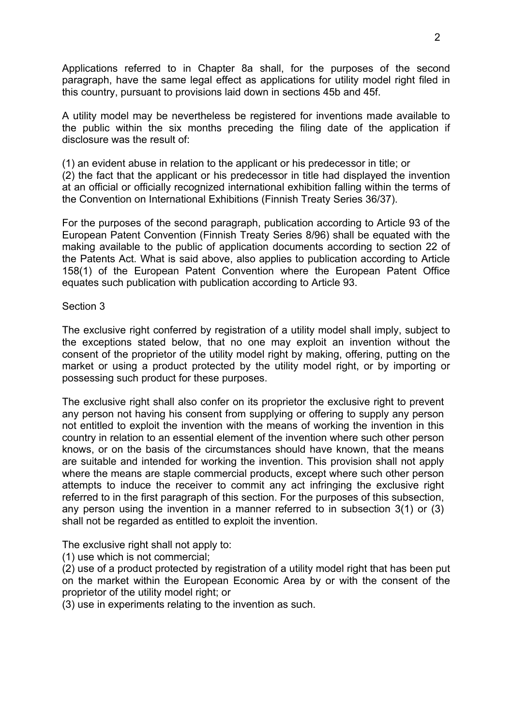Applications referred to in Chapter 8a shall, for the purposes of the second paragraph, have the same legal effect as applications for utility model right filed in this country, pursuant to provisions laid down in sections 45b and 45f.

A utility model may be nevertheless be registered for inventions made available to the public within the six months preceding the filing date of the application if disclosure was the result of:

(1) an evident abuse in relation to the applicant or his predecessor in title; or

(2) the fact that the applicant or his predecessor in title had displayed the invention at an official or officially recognized international exhibition falling within the terms of the Convention on International Exhibitions (Finnish Treaty Series 36/37).

For the purposes of the second paragraph, publication according to Article 93 of the European Patent Convention (Finnish Treaty Series 8/96) shall be equated with the making available to the public of application documents according to section 22 of the Patents Act. What is said above, also applies to publication according to Article 158(1) of the European Patent Convention where the European Patent Office equates such publication with publication according to Article 93.

### Section 3

The exclusive right conferred by registration of a utility model shall imply, subject to the exceptions stated below, that no one may exploit an invention without the consent of the proprietor of the utility model right by making, offering, putting on the market or using a product protected by the utility model right, or by importing or possessing such product for these purposes.

The exclusive right shall also confer on its proprietor the exclusive right to prevent any person not having his consent from supplying or offering to supply any person not entitled to exploit the invention with the means of working the invention in this country in relation to an essential element of the invention where such other person knows, or on the basis of the circumstances should have known, that the means are suitable and intended for working the invention. This provision shall not apply where the means are staple commercial products, except where such other person attempts to induce the receiver to commit any act infringing the exclusive right referred to in the first paragraph of this section. For the purposes of this subsection, any person using the invention in a manner referred to in subsection 3(1) or (3) shall not be regarded as entitled to exploit the invention.

The exclusive right shall not apply to:

(1) use which is not commercial;

(2) use of a product protected by registration of a utility model right that has been put on the market within the European Economic Area by or with the consent of the proprietor of the utility model right; or

(3) use in experiments relating to the invention as such.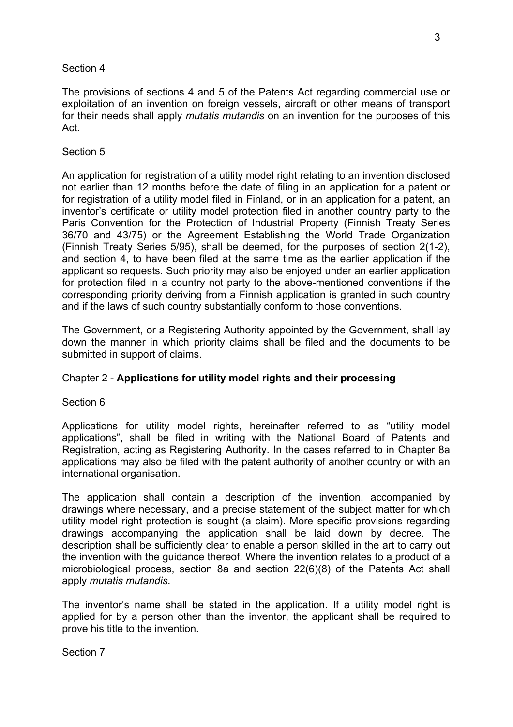The provisions of sections 4 and 5 of the Patents Act regarding commercial use or exploitation of an invention on foreign vessels, aircraft or other means of transport for their needs shall apply *mutatis mutandis* on an invention for the purposes of this Act.

# Section 5

An application for registration of a utility model right relating to an invention disclosed not earlier than 12 months before the date of filing in an application for a patent or for registration of a utility model filed in Finland, or in an application for a patent, an inventor's certificate or utility model protection filed in another country party to the Paris Convention for the Protection of Industrial Property (Finnish Treaty Series 36/70 and 43/75) or the Agreement Establishing the World Trade Organization (Finnish Treaty Series 5/95), shall be deemed, for the purposes of section 2(1-2), and section 4, to have been filed at the same time as the earlier application if the applicant so requests. Such priority may also be enjoyed under an earlier application for protection filed in a country not party to the above-mentioned conventions if the corresponding priority deriving from a Finnish application is granted in such country and if the laws of such country substantially conform to those conventions.

The Government, or a Registering Authority appointed by the Government, shall lay down the manner in which priority claims shall be filed and the documents to be submitted in support of claims.

# Chapter 2 - **Applications for utility model rights and their processing**

### Section 6

Applications for utility model rights, hereinafter referred to as "utility model applications", shall be filed in writing with the National Board of Patents and Registration, acting as Registering Authority. In the cases referred to in Chapter 8a applications may also be filed with the patent authority of another country or with an international organisation.

The application shall contain a description of the invention, accompanied by drawings where necessary, and a precise statement of the subject matter for which utility model right protection is sought (a claim). More specific provisions regarding drawings accompanying the application shall be laid down by decree. The description shall be sufficiently clear to enable a person skilled in the art to carry out the invention with the guidance thereof. Where the invention relates to a product of a microbiological process, section 8a and section 22(6)(8) of the Patents Act shall apply *mutatis mutandis*.

The inventor's name shall be stated in the application. If a utility model right is applied for by a person other than the inventor, the applicant shall be required to prove his title to the invention.

Section 7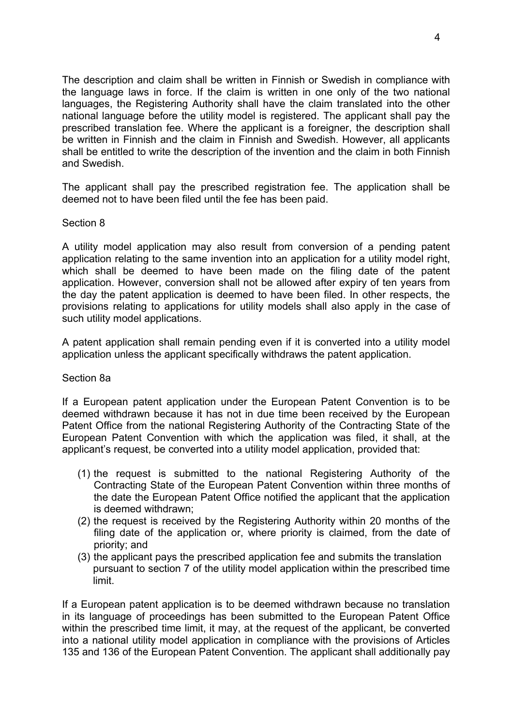The description and claim shall be written in Finnish or Swedish in compliance with the language laws in force. If the claim is written in one only of the two national languages, the Registering Authority shall have the claim translated into the other national language before the utility model is registered. The applicant shall pay the prescribed translation fee. Where the applicant is a foreigner, the description shall be written in Finnish and the claim in Finnish and Swedish. However, all applicants shall be entitled to write the description of the invention and the claim in both Finnish and Swedish.

The applicant shall pay the prescribed registration fee. The application shall be deemed not to have been filed until the fee has been paid.

### Section 8

A utility model application may also result from conversion of a pending patent application relating to the same invention into an application for a utility model right, which shall be deemed to have been made on the filing date of the patent application. However, conversion shall not be allowed after expiry of ten years from the day the patent application is deemed to have been filed. In other respects, the provisions relating to applications for utility models shall also apply in the case of such utility model applications.

A patent application shall remain pending even if it is converted into a utility model application unless the applicant specifically withdraws the patent application.

### Section 8a

If a European patent application under the European Patent Convention is to be deemed withdrawn because it has not in due time been received by the European Patent Office from the national Registering Authority of the Contracting State of the European Patent Convention with which the application was filed, it shall, at the applicant's request, be converted into a utility model application, provided that:

- (1) the request is submitted to the national Registering Authority of the Contracting State of the European Patent Convention within three months of the date the European Patent Office notified the applicant that the application is deemed withdrawn;
- (2) the request is received by the Registering Authority within 20 months of the filing date of the application or, where priority is claimed, from the date of priority; and
- (3) the applicant pays the prescribed application fee and submits the translation pursuant to section 7 of the utility model application within the prescribed time limit.

If a European patent application is to be deemed withdrawn because no translation in its language of proceedings has been submitted to the European Patent Office within the prescribed time limit, it may, at the request of the applicant, be converted into a national utility model application in compliance with the provisions of Articles 135 and 136 of the European Patent Convention. The applicant shall additionally pay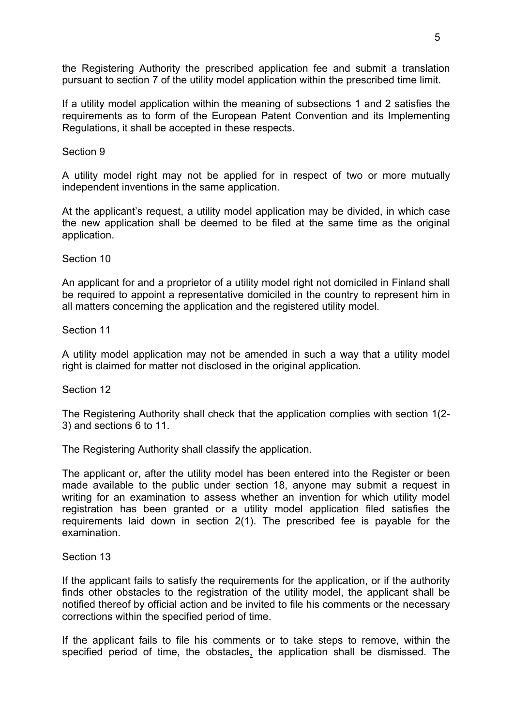the Registering Authority the prescribed application fee and submit a translation pursuant to section 7 of the utility model application within the prescribed time limit.

If a utility model application within the meaning of subsections 1 and 2 satisfies the requirements as to form of the European Patent Convention and its Implementing Regulations, it shall be accepted in these respects.

Section 9

A utility model right may not be applied for in respect of two or more mutually independent inventions in the same application.

At the applicant's request, a utility model application may be divided, in which case the new application shall be deemed to be filed at the same time as the original application.

Section 10

An applicant for and a proprietor of a utility model right not domiciled in Finland shall be required to appoint a representative domiciled in the country to represent him in all matters concerning the application and the registered utility model.

Section 11

A utility model application may not be amended in such a way that a utility model right is claimed for matter not disclosed in the original application.

Section 12

The Registering Authority shall check that the application complies with section 1(2- 3) and sections 6 to 11.

The Registering Authority shall classify the application.

The applicant or, after the utility model has been entered into the Register or been made available to the public under section 18, anyone may submit a request in writing for an examination to assess whether an invention for which utility model registration has been granted or a utility model application filed satisfies the requirements laid down in section 2(1). The prescribed fee is payable for the examination.

Section 13

If the applicant fails to satisfy the requirements for the application, or if the authority finds other obstacles to the registration of the utility model, the applicant shall be notified thereof by official action and be invited to file his comments or the necessary corrections within the specified period of time.

If the applicant fails to file his comments or to take steps to remove, within the specified period of time, the obstacles, the application shall be dismissed. The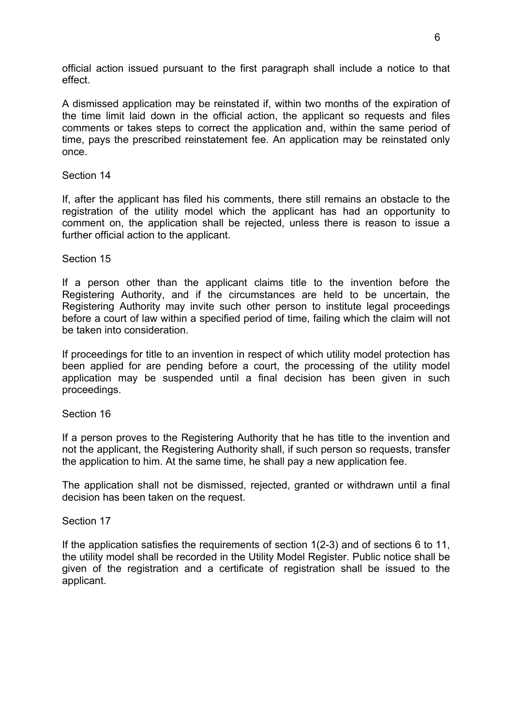official action issued pursuant to the first paragraph shall include a notice to that effect.

A dismissed application may be reinstated if, within two months of the expiration of the time limit laid down in the official action, the applicant so requests and files comments or takes steps to correct the application and, within the same period of time, pays the prescribed reinstatement fee. An application may be reinstated only once.

### Section 14

If, after the applicant has filed his comments, there still remains an obstacle to the registration of the utility model which the applicant has had an opportunity to comment on, the application shall be rejected, unless there is reason to issue a further official action to the applicant.

### Section 15

If a person other than the applicant claims title to the invention before the Registering Authority, and if the circumstances are held to be uncertain, the Registering Authority may invite such other person to institute legal proceedings before a court of law within a specified period of time, failing which the claim will not be taken into consideration.

If proceedings for title to an invention in respect of which utility model protection has been applied for are pending before a court, the processing of the utility model application may be suspended until a final decision has been given in such proceedings.

Section 16

If a person proves to the Registering Authority that he has title to the invention and not the applicant, the Registering Authority shall, if such person so requests, transfer the application to him. At the same time, he shall pay a new application fee.

The application shall not be dismissed, rejected, granted or withdrawn until a final decision has been taken on the request.

Section 17

If the application satisfies the requirements of section 1(2-3) and of sections 6 to 11, the utility model shall be recorded in the Utility Model Register. Public notice shall be given of the registration and a certificate of registration shall be issued to the applicant.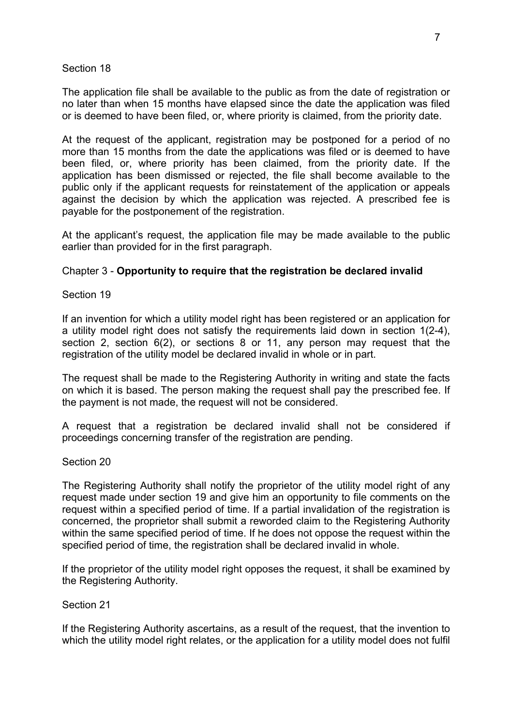The application file shall be available to the public as from the date of registration or no later than when 15 months have elapsed since the date the application was filed or is deemed to have been filed, or, where priority is claimed, from the priority date.

At the request of the applicant, registration may be postponed for a period of no more than 15 months from the date the applications was filed or is deemed to have been filed, or, where priority has been claimed, from the priority date. If the application has been dismissed or rejected, the file shall become available to the public only if the applicant requests for reinstatement of the application or appeals against the decision by which the application was rejected. A prescribed fee is payable for the postponement of the registration.

At the applicant's request, the application file may be made available to the public earlier than provided for in the first paragraph.

# Chapter 3 - **Opportunity to require that the registration be declared invalid**

# Section 19

If an invention for which a utility model right has been registered or an application for a utility model right does not satisfy the requirements laid down in section 1(2-4), section 2, section 6(2), or sections 8 or 11, any person may request that the registration of the utility model be declared invalid in whole or in part.

The request shall be made to the Registering Authority in writing and state the facts on which it is based. The person making the request shall pay the prescribed fee. If the payment is not made, the request will not be considered.

A request that a registration be declared invalid shall not be considered if proceedings concerning transfer of the registration are pending.

### Section 20

The Registering Authority shall notify the proprietor of the utility model right of any request made under section 19 and give him an opportunity to file comments on the request within a specified period of time. If a partial invalidation of the registration is concerned, the proprietor shall submit a reworded claim to the Registering Authority within the same specified period of time. If he does not oppose the request within the specified period of time, the registration shall be declared invalid in whole.

If the proprietor of the utility model right opposes the request, it shall be examined by the Registering Authority.

# Section 21

If the Registering Authority ascertains, as a result of the request, that the invention to which the utility model right relates, or the application for a utility model does not fulfil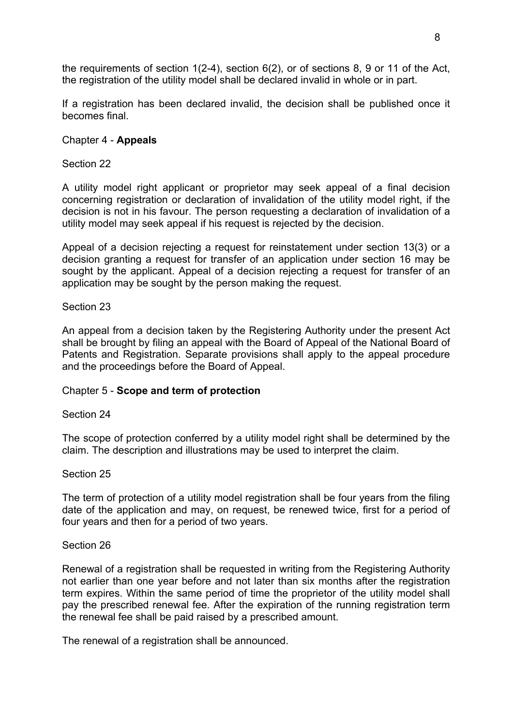the requirements of section 1(2-4), section 6(2), or of sections 8, 9 or 11 of the Act, the registration of the utility model shall be declared invalid in whole or in part.

If a registration has been declared invalid, the decision shall be published once it becomes final.

# Chapter 4 - **Appeals**

# Section 22

A utility model right applicant or proprietor may seek appeal of a final decision concerning registration or declaration of invalidation of the utility model right, if the decision is not in his favour. The person requesting a declaration of invalidation of a utility model may seek appeal if his request is rejected by the decision.

Appeal of a decision rejecting a request for reinstatement under section 13(3) or a decision granting a request for transfer of an application under section 16 may be sought by the applicant. Appeal of a decision rejecting a request for transfer of an application may be sought by the person making the request.

# Section 23

An appeal from a decision taken by the Registering Authority under the present Act shall be brought by filing an appeal with the Board of Appeal of the National Board of Patents and Registration. Separate provisions shall apply to the appeal procedure and the proceedings before the Board of Appeal.

# Chapter 5 - **Scope and term of protection**

# Section 24

The scope of protection conferred by a utility model right shall be determined by the claim. The description and illustrations may be used to interpret the claim.

# Section 25

The term of protection of a utility model registration shall be four years from the filing date of the application and may, on request, be renewed twice, first for a period of four years and then for a period of two years.

# Section 26

Renewal of a registration shall be requested in writing from the Registering Authority not earlier than one year before and not later than six months after the registration term expires. Within the same period of time the proprietor of the utility model shall pay the prescribed renewal fee. After the expiration of the running registration term the renewal fee shall be paid raised by a prescribed amount.

The renewal of a registration shall be announced.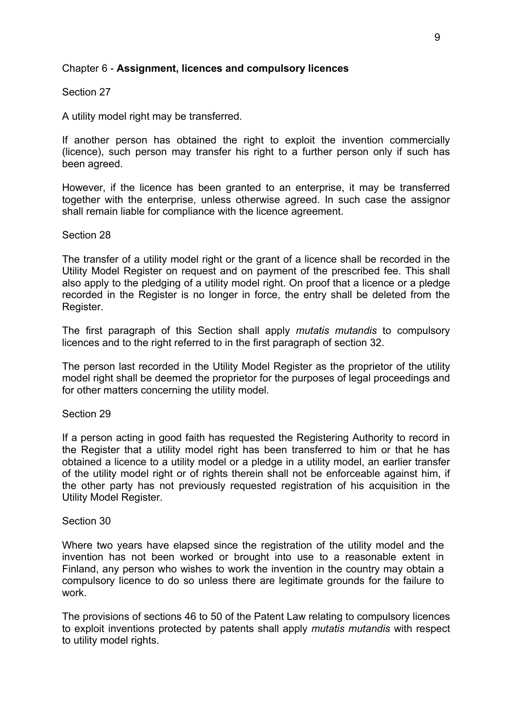### Chapter 6 - **Assignment, licences and compulsory licences**

### Section 27

A utility model right may be transferred.

If another person has obtained the right to exploit the invention commercially (licence), such person may transfer his right to a further person only if such has been agreed.

However, if the licence has been granted to an enterprise, it may be transferred together with the enterprise, unless otherwise agreed. In such case the assignor shall remain liable for compliance with the licence agreement.

### Section 28

The transfer of a utility model right or the grant of a licence shall be recorded in the Utility Model Register on request and on payment of the prescribed fee. This shall also apply to the pledging of a utility model right. On proof that a licence or a pledge recorded in the Register is no longer in force, the entry shall be deleted from the Register.

The first paragraph of this Section shall apply *mutatis mutandis* to compulsory licences and to the right referred to in the first paragraph of section 32.

The person last recorded in the Utility Model Register as the proprietor of the utility model right shall be deemed the proprietor for the purposes of legal proceedings and for other matters concerning the utility model.

### Section 29

If a person acting in good faith has requested the Registering Authority to record in the Register that a utility model right has been transferred to him or that he has obtained a licence to a utility model or a pledge in a utility model, an earlier transfer of the utility model right or of rights therein shall not be enforceable against him, if the other party has not previously requested registration of his acquisition in the Utility Model Register.

### Section 30

Where two years have elapsed since the registration of the utility model and the invention has not been worked or brought into use to a reasonable extent in Finland, any person who wishes to work the invention in the country may obtain a compulsory licence to do so unless there are legitimate grounds for the failure to work.

The provisions of sections 46 to 50 of the Patent Law relating to compulsory licences to exploit inventions protected by patents shall apply *mutatis mutandis* with respect to utility model rights.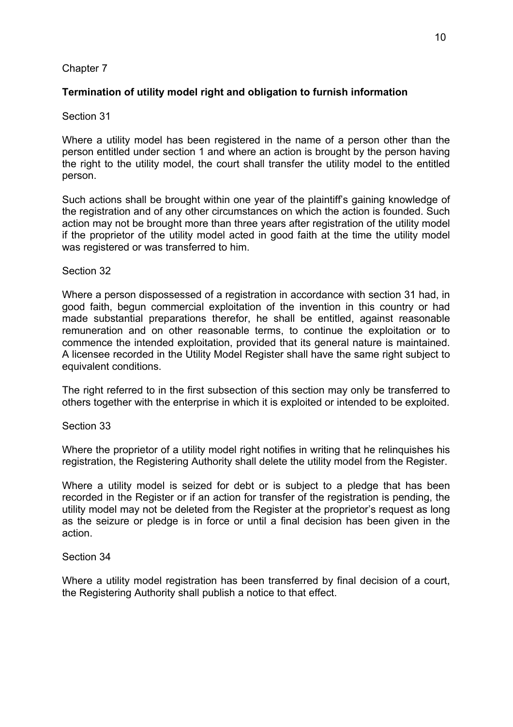# Chapter 7

### **Termination of utility model right and obligation to furnish information**

### Section 31

Where a utility model has been registered in the name of a person other than the person entitled under section 1 and where an action is brought by the person having the right to the utility model, the court shall transfer the utility model to the entitled person.

Such actions shall be brought within one year of the plaintiff's gaining knowledge of the registration and of any other circumstances on which the action is founded. Such action may not be brought more than three years after registration of the utility model if the proprietor of the utility model acted in good faith at the time the utility model was registered or was transferred to him.

### Section 32

Where a person dispossessed of a registration in accordance with section 31 had, in good faith, begun commercial exploitation of the invention in this country or had made substantial preparations therefor, he shall be entitled, against reasonable remuneration and on other reasonable terms, to continue the exploitation or to commence the intended exploitation, provided that its general nature is maintained. A licensee recorded in the Utility Model Register shall have the same right subject to equivalent conditions.

The right referred to in the first subsection of this section may only be transferred to others together with the enterprise in which it is exploited or intended to be exploited.

#### Section 33

Where the proprietor of a utility model right notifies in writing that he relinguishes his registration, the Registering Authority shall delete the utility model from the Register.

Where a utility model is seized for debt or is subject to a pledge that has been recorded in the Register or if an action for transfer of the registration is pending, the utility model may not be deleted from the Register at the proprietor's request as long as the seizure or pledge is in force or until a final decision has been given in the action.

### Section 34

Where a utility model registration has been transferred by final decision of a court, the Registering Authority shall publish a notice to that effect.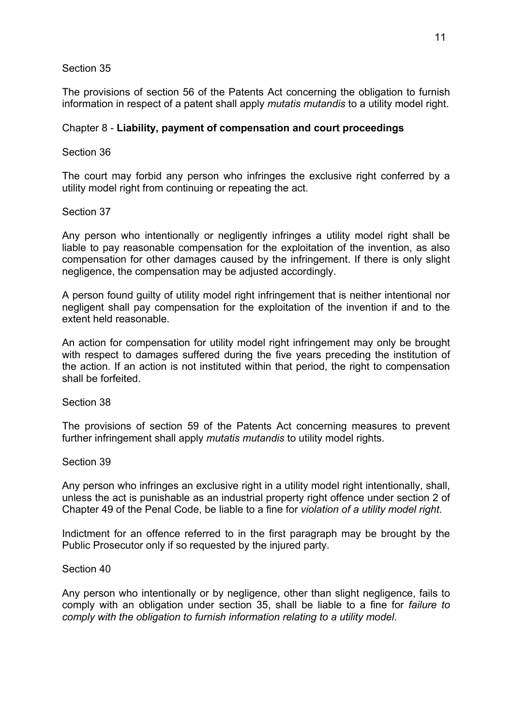The provisions of section 56 of the Patents Act concerning the obligation to furnish information in respect of a patent shall apply *mutatis mutandis* to a utility model right.

# Chapter 8 - **Liability, payment of compensation and court proceedings**

### Section 36

The court may forbid any person who infringes the exclusive right conferred by a utility model right from continuing or repeating the act.

### Section 37

Any person who intentionally or negligently infringes a utility model right shall be liable to pay reasonable compensation for the exploitation of the invention, as also compensation for other damages caused by the infringement. If there is only slight negligence, the compensation may be adjusted accordingly.

A person found guilty of utility model right infringement that is neither intentional nor negligent shall pay compensation for the exploitation of the invention if and to the extent held reasonable.

An action for compensation for utility model right infringement may only be brought with respect to damages suffered during the five years preceding the institution of the action. If an action is not instituted within that period, the right to compensation shall be forfeited.

### Section 38

The provisions of section 59 of the Patents Act concerning measures to prevent further infringement shall apply *mutatis mutandis* to utility model rights.

### Section 39

Any person who infringes an exclusive right in a utility model right intentionally, shall, unless the act is punishable as an industrial property right offence under section 2 of Chapter 49 of the Penal Code, be liable to a fine for *violation of a utility model right*.

Indictment for an offence referred to in the first paragraph may be brought by the Public Prosecutor only if so requested by the injured party.

### Section 40

Any person who intentionally or by negligence, other than slight negligence, fails to comply with an obligation under section 35, shall be liable to a fine for *failure to comply with the obligation to furnish information relating to a utility model*.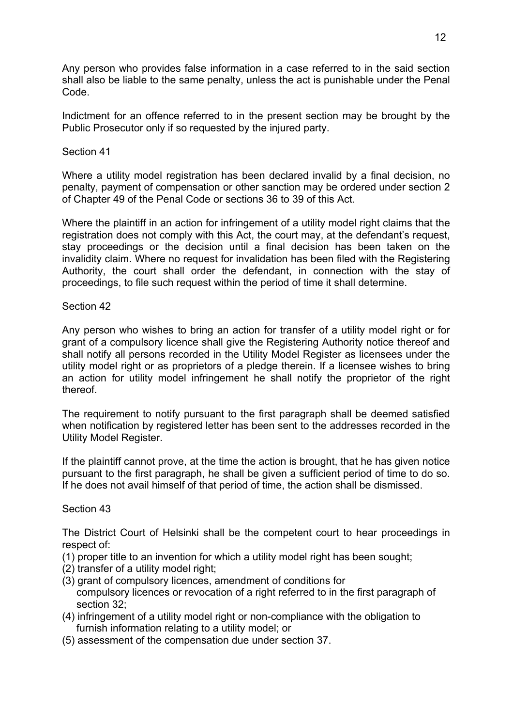Any person who provides false information in a case referred to in the said section shall also be liable to the same penalty, unless the act is punishable under the Penal Code.

Indictment for an offence referred to in the present section may be brought by the Public Prosecutor only if so requested by the injured party.

### Section 41

Where a utility model registration has been declared invalid by a final decision, no penalty, payment of compensation or other sanction may be ordered under section 2 of Chapter 49 of the Penal Code or sections 36 to 39 of this Act.

Where the plaintiff in an action for infringement of a utility model right claims that the registration does not comply with this Act, the court may, at the defendant's request, stay proceedings or the decision until a final decision has been taken on the invalidity claim. Where no request for invalidation has been filed with the Registering Authority, the court shall order the defendant, in connection with the stay of proceedings, to file such request within the period of time it shall determine.

### Section 42

Any person who wishes to bring an action for transfer of a utility model right or for grant of a compulsory licence shall give the Registering Authority notice thereof and shall notify all persons recorded in the Utility Model Register as licensees under the utility model right or as proprietors of a pledge therein. If a licensee wishes to bring an action for utility model infringement he shall notify the proprietor of the right thereof.

The requirement to notify pursuant to the first paragraph shall be deemed satisfied when notification by registered letter has been sent to the addresses recorded in the Utility Model Register.

If the plaintiff cannot prove, at the time the action is brought, that he has given notice pursuant to the first paragraph, he shall be given a sufficient period of time to do so. If he does not avail himself of that period of time, the action shall be dismissed.

# Section 43

The District Court of Helsinki shall be the competent court to hear proceedings in respect of:

- (1) proper title to an invention for which a utility model right has been sought;
- (2) transfer of a utility model right;
- (3) grant of compulsory licences, amendment of conditions for compulsory licences or revocation of a right referred to in the first paragraph of section 32;
- (4) infringement of a utility model right or non-compliance with the obligation to furnish information relating to a utility model; or
- (5) assessment of the compensation due under section 37.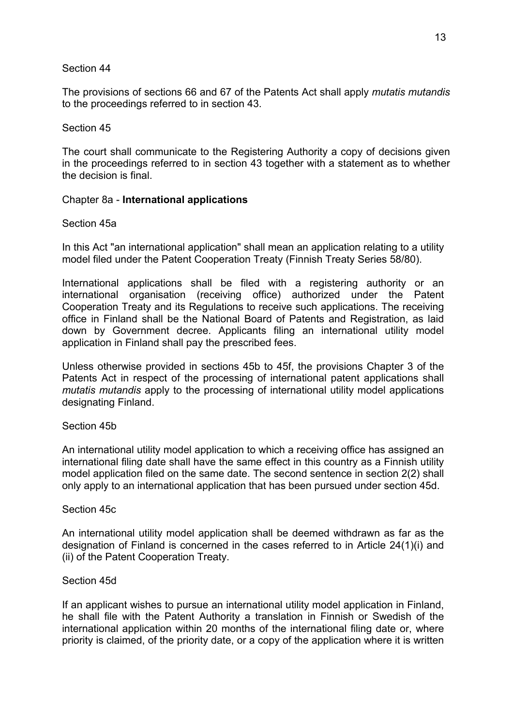The provisions of sections 66 and 67 of the Patents Act shall apply *mutatis mutandis* to the proceedings referred to in section 43.

### Section 45

The court shall communicate to the Registering Authority a copy of decisions given in the proceedings referred to in section 43 together with a statement as to whether the decision is final.

# Chapter 8a - **International applications**

### Section 45a

In this Act "an international application" shall mean an application relating to a utility model filed under the Patent Cooperation Treaty (Finnish Treaty Series 58/80).

International applications shall be filed with a registering authority or an international organisation (receiving office) authorized under the Patent Cooperation Treaty and its Regulations to receive such applications. The receiving office in Finland shall be the National Board of Patents and Registration, as laid down by Government decree. Applicants filing an international utility model application in Finland shall pay the prescribed fees.

Unless otherwise provided in sections 45b to 45f, the provisions Chapter 3 of the Patents Act in respect of the processing of international patent applications shall *mutatis mutandis* apply to the processing of international utility model applications designating Finland.

### Section 45b

An international utility model application to which a receiving office has assigned an international filing date shall have the same effect in this country as a Finnish utility model application filed on the same date. The second sentence in section 2(2) shall only apply to an international application that has been pursued under section 45d.

### Section 45c

An international utility model application shall be deemed withdrawn as far as the designation of Finland is concerned in the cases referred to in Article 24(1)(i) and (ii) of the Patent Cooperation Treaty.

### Section 45d

If an applicant wishes to pursue an international utility model application in Finland, he shall file with the Patent Authority a translation in Finnish or Swedish of the international application within 20 months of the international filing date or, where priority is claimed, of the priority date, or a copy of the application where it is written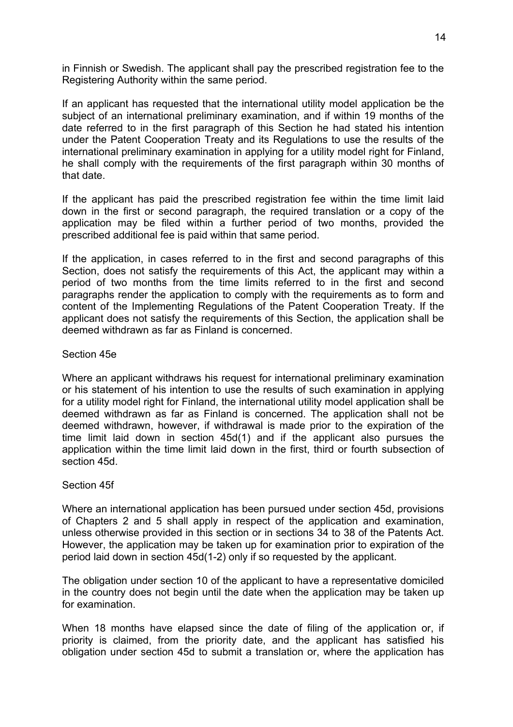in Finnish or Swedish. The applicant shall pay the prescribed registration fee to the Registering Authority within the same period.

If an applicant has requested that the international utility model application be the subject of an international preliminary examination, and if within 19 months of the date referred to in the first paragraph of this Section he had stated his intention under the Patent Cooperation Treaty and its Regulations to use the results of the international preliminary examination in applying for a utility model right for Finland, he shall comply with the requirements of the first paragraph within 30 months of that date.

If the applicant has paid the prescribed registration fee within the time limit laid down in the first or second paragraph, the required translation or a copy of the application may be filed within a further period of two months, provided the prescribed additional fee is paid within that same period.

If the application, in cases referred to in the first and second paragraphs of this Section, does not satisfy the requirements of this Act, the applicant may within a period of two months from the time limits referred to in the first and second paragraphs render the application to comply with the requirements as to form and content of the Implementing Regulations of the Patent Cooperation Treaty. If the applicant does not satisfy the requirements of this Section, the application shall be deemed withdrawn as far as Finland is concerned.

# Section 45e

Where an applicant withdraws his request for international preliminary examination or his statement of his intention to use the results of such examination in applying for a utility model right for Finland, the international utility model application shall be deemed withdrawn as far as Finland is concerned. The application shall not be deemed withdrawn, however, if withdrawal is made prior to the expiration of the time limit laid down in section 45d(1) and if the applicant also pursues the application within the time limit laid down in the first, third or fourth subsection of section 45d.

### Section 45f

Where an international application has been pursued under section 45d, provisions of Chapters 2 and 5 shall apply in respect of the application and examination, unless otherwise provided in this section or in sections 34 to 38 of the Patents Act. However, the application may be taken up for examination prior to expiration of the period laid down in section 45d(1-2) only if so requested by the applicant.

The obligation under section 10 of the applicant to have a representative domiciled in the country does not begin until the date when the application may be taken up for examination.

When 18 months have elapsed since the date of filing of the application or, if priority is claimed, from the priority date, and the applicant has satisfied his obligation under section 45d to submit a translation or, where the application has